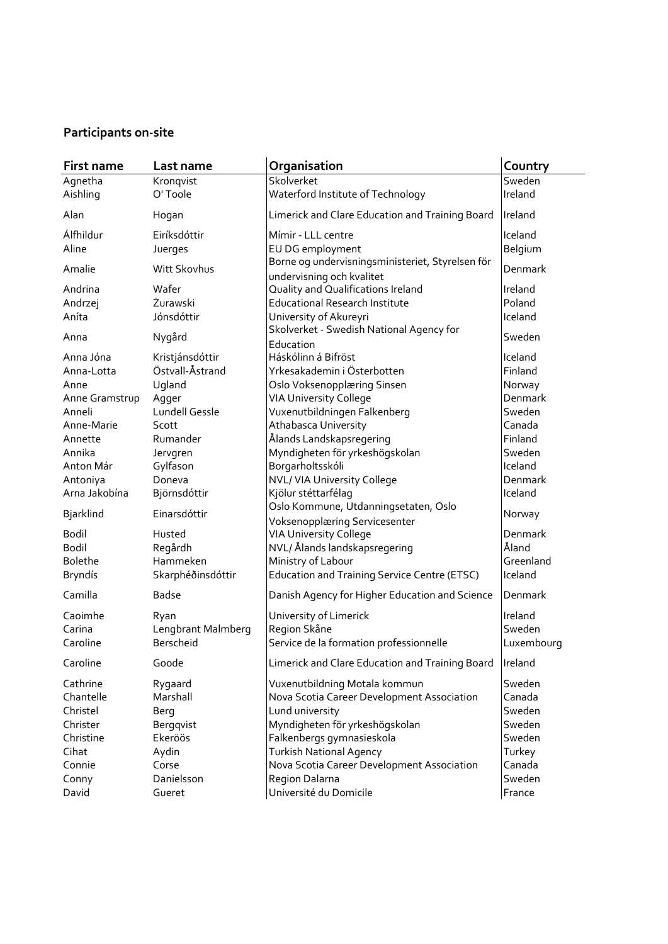## **Participants on-site**

| First name       | Last name          | Organisation                                                                  | Country    |
|------------------|--------------------|-------------------------------------------------------------------------------|------------|
| Agnetha          | Kronqvist          | Skolverket                                                                    | Sweden     |
| Aishling         | O'Toole            | Waterford Institute of Technology                                             | Ireland    |
| Alan             | Hogan              | Limerick and Clare Education and Training Board                               | Ireland    |
| Álfhildur        | Eiríksdóttir       | Mímir - LLL centre                                                            | Iceland    |
| Aline            | Juerges            | EU DG employment                                                              | Belgium    |
| Amalie           | Witt Skovhus       | Borne og undervisningsministeriet, Styrelsen för<br>undervisning och kvalitet | Denmark    |
| Andrina          | Wafer              | Quality and Qualifications Ireland                                            | Ireland    |
| Andrzej          | Żurawski           | <b>Educational Research Institute</b>                                         | Poland     |
| Aníta            | Jónsdóttir         | University of Akureyri                                                        | Iceland    |
| Anna             | Nygård             | Skolverket - Swedish National Agency for<br>Education                         | Sweden     |
| Anna Jóna        | Kristjánsdóttir    | Háskólinn á Bifröst                                                           | Iceland    |
| Anna-Lotta       | Östvall-Åstrand    | Yrkesakademin i Österbotten                                                   | Finland    |
| Anne             | Ugland             | Oslo Voksenopplæring Sinsen                                                   | Norway     |
| Anne Gramstrup   | Agger              | <b>VIA University College</b>                                                 | Denmark    |
| Anneli           | Lundell Gessle     | Vuxenutbildningen Falkenberg                                                  | Sweden     |
| Anne-Marie       | Scott              | Athabasca University                                                          | Canada     |
| Annette          | Rumander           | Ålands Landskapsregering                                                      | Finland    |
| Annika           | Jervgren           | Myndigheten för yrkeshögskolan                                                | Sweden     |
| Anton Már        | Gylfason           | Borgarholtsskóli                                                              | Iceland    |
| Antoniya         | Doneva             | NVL/ VIA University College                                                   | Denmark    |
| Arna Jakobína    | Björnsdóttir       | Kjölur stéttarfélag                                                           | Iceland    |
|                  | Einarsdóttir       | Oslo Kommune, Utdanningsetaten, Oslo                                          |            |
| <b>Bjarklind</b> |                    | Voksenopplæring Servicesenter                                                 | Norway     |
| <b>Bodil</b>     | Husted             | <b>VIA University College</b>                                                 | Denmark    |
| <b>Bodil</b>     | Regårdh            | NVL/ Ålands landskapsregering                                                 | Åland      |
| <b>Bolethe</b>   | Hammeken           | Ministry of Labour                                                            | Greenland  |
| <b>Bryndís</b>   | Skarphéðinsdóttir  | <b>Education and Training Service Centre (ETSC)</b>                           | Iceland    |
| Camilla          | <b>Badse</b>       | Danish Agency for Higher Education and Science                                | Denmark    |
| Caoimhe          | Ryan               | University of Limerick                                                        | Ireland    |
| Carina           | Lengbrant Malmberg | Region Skåne                                                                  | Sweden     |
| Caroline         | Berscheid          | Service de la formation professionnelle                                       | Luxembourg |
| Caroline         | Goode              | Limerick and Clare Education and Training Board                               | Ireland    |
| Cathrine         | Rygaard            | Vuxenutbildning Motala kommun                                                 | Sweden     |
| Chantelle        | Marshall           | Nova Scotia Career Development Association                                    | Canada     |
| Christel         | Berg               | Lund university                                                               | Sweden     |
| Christer         | Bergqvist          | Myndigheten för yrkeshögskolan                                                | Sweden     |
| Christine        | Ekeröös            | Falkenbergs gymnasieskola                                                     | Sweden     |
| Cihat            | Aydin              | <b>Turkish National Agency</b>                                                | Turkey     |
| Connie           | Corse              | Nova Scotia Career Development Association                                    | Canada     |
| Conny            | Danielsson         | Region Dalarna                                                                | Sweden     |
| David            | Gueret             | Université du Domicile                                                        | France     |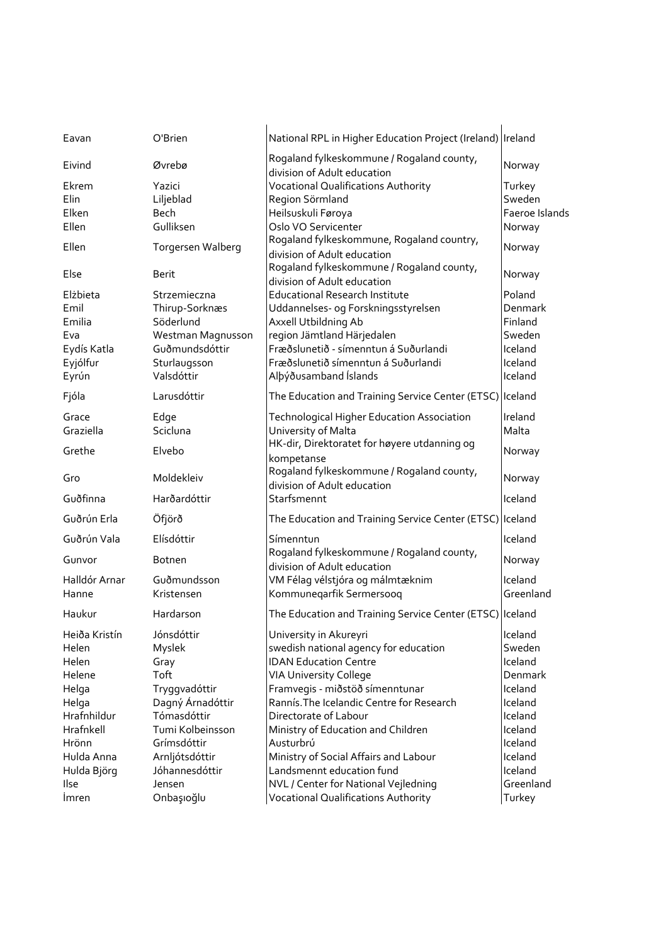| Eavan         | O'Brien           | National RPL in Higher Education Project (Ireland) Ireland               |                |
|---------------|-------------------|--------------------------------------------------------------------------|----------------|
| Eivind        | Øvrebø            | Rogaland fylkeskommune / Rogaland county,<br>division of Adult education | Norway         |
| Ekrem         | Yazici            | <b>Vocational Qualifications Authority</b>                               | Turkey         |
| Elin          | Liljeblad         | Region Sörmland                                                          | Sweden         |
| Elken         | <b>Bech</b>       | Heilsuskuli Føroya                                                       | Faeroe Islands |
| Ellen         | Gulliksen         | Oslo VO Servicenter                                                      | Norway         |
| Ellen         | Torgersen Walberg | Rogaland fylkeskommune, Rogaland country,<br>division of Adult education | Norway         |
| Else          | Berit             | Rogaland fylkeskommune / Rogaland county,<br>division of Adult education | Norway         |
| Elżbieta      | Strzemieczna      | <b>Educational Research Institute</b>                                    | Poland         |
| Emil          | Thirup-Sorknæs    | Uddannelses- og Forskningsstyrelsen                                      | Denmark        |
| Emilia        | Söderlund         | Axxell Utbildning Ab                                                     | Finland        |
| Eva           | Westman Magnusson | region Jämtland Härjedalen                                               | Sweden         |
| Eydís Katla   | Guðmundsdóttir    | Fræðslunetið - símenntun á Suðurlandi                                    | Iceland        |
| Eyjólfur      | Sturlaugsson      | Fræðslunetið símenntun á Suðurlandi                                      | Iceland        |
| Eyrún         | Valsdóttir        | Alþýðusamband Íslands                                                    | Iceland        |
| Fjóla         | Larusdóttir       | The Education and Training Service Center (ETSC) Iceland                 |                |
| Grace         | Edge              | Technological Higher Education Association                               | Ireland        |
| Graziella     | Scicluna          | University of Malta                                                      | Malta          |
| Grethe        | Elvebo            | HK-dir, Direktoratet for høyere utdanning og<br>kompetanse               | Norway         |
| Gro           | Moldekleiv        | Rogaland fylkeskommune / Rogaland county,<br>division of Adult education | Norway         |
| Guðfinna      | Harðardóttir      | Starfsmennt                                                              | Iceland        |
| Guðrún Erla   | Öfjörð            | The Education and Training Service Center (ETSC) Iceland                 |                |
| Guðrún Vala   | Elísdóttir        | Símenntun                                                                | Iceland        |
| Gunvor        | <b>Botnen</b>     | Rogaland fylkeskommune / Rogaland county,<br>division of Adult education | Norway         |
| Halldór Arnar | Guðmundsson       | VM Félag vélstjóra og málmtæknim                                         | Iceland        |
| Hanne         | Kristensen        | Kommuneqarfik Sermersooq                                                 | Greenland      |
| Haukur        | Hardarson         | The Education and Training Service Center (ETSC) Iceland                 |                |
| Heiða Kristín | Jónsdóttir        | University in Akureyri                                                   | Iceland        |
| Helen         | Myslek            | swedish national agency for education                                    | Sweden         |
| Helen         | Gray              | <b>IDAN Education Centre</b>                                             | Iceland        |
| Helene        | Toft              | <b>VIA University College</b>                                            | Denmark        |
| Helga         | Tryggvadóttir     | Framvegis - miðstöð símenntunar                                          | Iceland        |
| Helga         | Dagný Árnadóttir  | Rannís. The Icelandic Centre for Research                                | Iceland        |
| Hrafnhildur   | Tómasdóttir       | Directorate of Labour                                                    | Iceland        |
| Hrafnkell     | Tumi Kolbeinsson  | Ministry of Education and Children                                       | Iceland        |
| Hrönn         | Grímsdóttir       | Austurbrú                                                                | Iceland        |
| Hulda Anna    | Arnljótsdóttir    | Ministry of Social Affairs and Labour                                    | Iceland        |
| Hulda Björg   | Jóhannesdóttir    | Landsmennt education fund                                                | Iceland        |
| Ilse          | Jensen            | NVL / Center for National Vejledning                                     | Greenland      |
| <i>Imren</i>  | Onbaşıoğlu        | <b>Vocational Qualifications Authority</b>                               | Turkey         |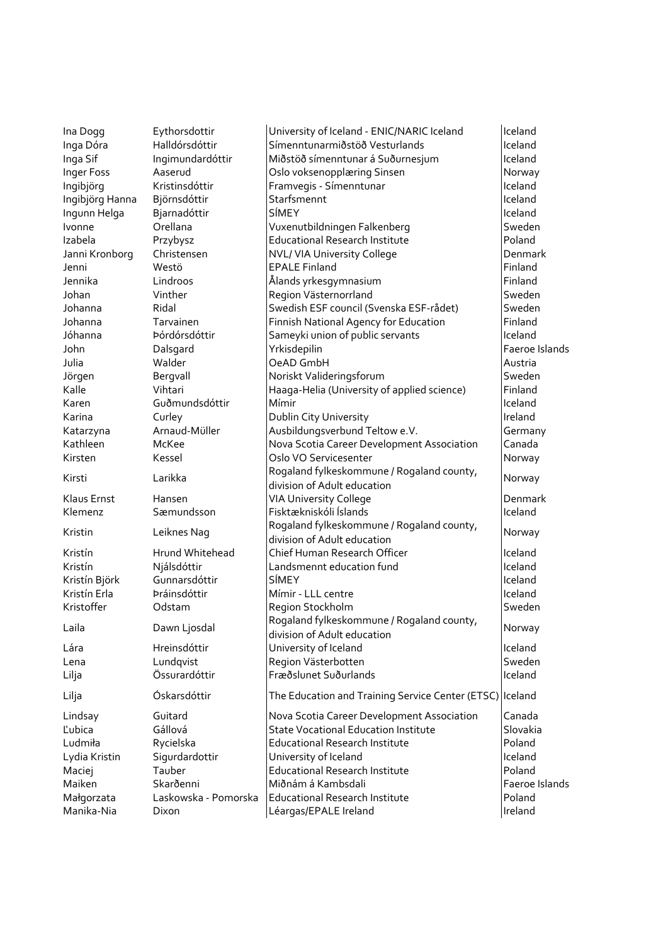| Ina Dogg        | Eythorsdottir        | University of Iceland - ENIC/NARIC Iceland               | Iceland        |
|-----------------|----------------------|----------------------------------------------------------|----------------|
| Inga Dóra       | Halldórsdóttir       | Símenntunarmiðstöð Vesturlands                           | Iceland        |
| Inga Sif        | Ingimundardóttir     | Miðstöð símenntunar á Suðurnesjum                        | Iceland        |
| Inger Foss      | Aaserud              | Oslo voksenopplæring Sinsen                              | Norway         |
| Ingibjörg       | Kristinsdóttir       | Framvegis - Símenntunar                                  | Iceland        |
| Ingibjörg Hanna | Björnsdóttir         | Starfsmennt                                              | Iceland        |
| Ingunn Helga    | Bjarnadóttir         | SÍMEY                                                    | Iceland        |
| Ivonne          | Orellana             | Vuxenutbildningen Falkenberg                             | Sweden         |
| Izabela         | Przybysz             | Educational Research Institute                           | Poland         |
| Janni Kronborg  | Christensen          | NVL/ VIA University College                              | Denmark        |
| Jenni           | Westö                | <b>EPALE Finland</b>                                     | Finland        |
| Jennika         | Lindroos             | Ålands yrkesgymnasium                                    | Finland        |
| Johan           | Vinther              | Region Västernorrland                                    | Sweden         |
| Johanna         | Ridal                | Swedish ESF council (Svenska ESF-rådet)                  | Sweden         |
| Johanna         | Tarvainen            | Finnish National Agency for Education                    | Finland        |
| Jóhanna         | Þórdórsdóttir        | Sameyki union of public servants                         | Iceland        |
| John            | Dalsgard             | Yrkisdepilin                                             | Faeroe Islands |
| Julia           | Walder               | OeAD GmbH                                                | Austria        |
| Jörgen          | Bergvall             | Noriskt Valideringsforum                                 | Sweden         |
| Kalle           | Vihtari              | Haaga-Helia (University of applied science)              | Finland        |
| Karen           | Guðmundsdóttir       | Mímir                                                    | Iceland        |
| Karina          | Curley               | Dublin City University                                   | Ireland        |
| Katarzyna       | Arnaud-Müller        | Ausbildungsverbund Teltow e.V.                           | Germany        |
| Kathleen        | McKee                | Nova Scotia Career Development Association               | Canada         |
| Kirsten         | Kessel               | Oslo VO Servicesenter                                    | Norway         |
|                 |                      | Rogaland fylkeskommune / Rogaland county,                |                |
| Kirsti          | Larikka              | division of Adult education                              | Norway         |
| Klaus Ernst     | Hansen               | VIA University College                                   | Denmark        |
| Klemenz         | Sæmundsson           | Fisktækniskóli Íslands                                   | Iceland        |
|                 |                      | Rogaland fylkeskommune / Rogaland county,                |                |
| Kristin         | Leiknes Nag          | division of Adult education                              | Norway         |
| Kristín         | Hrund Whitehead      | Chief Human Research Officer                             | Iceland        |
| Kristín         | Njálsdóttir          | Landsmennt education fund                                | Iceland        |
| Kristín Björk   | Gunnarsdóttir        | SÍMEY                                                    | Iceland        |
| Kristín Erla    | Þráinsdóttir         | Mímir - LLL centre                                       | Iceland        |
| Kristoffer      | Odstam               | Region Stockholm                                         | Sweden         |
| Laila           | Dawn Ljosdal         | Rogaland fylkeskommune / Rogaland county,                | Norway         |
|                 |                      | division of Adult education                              |                |
| Lára            | Hreinsdóttir         | University of Iceland                                    | Iceland        |
| Lena            | Lundqvist            | Region Västerbotten                                      | Sweden         |
| Lilja           | Össurardóttir        | Fræðslunet Suðurlands                                    | Iceland        |
| Lilja           | Óskarsdóttir         | The Education and Training Service Center (ETSC) Iceland |                |
| Lindsay         | Guitard              | Nova Scotia Career Development Association               | Canada         |
| Ľubica          | Gállová              | <b>State Vocational Education Institute</b>              | Slovakia       |
| Ludmiła         | Rycielska            | <b>Educational Research Institute</b>                    | Poland         |
| Lydia Kristin   | Sigurdardottir       | University of Iceland                                    | Iceland        |
| Maciej          | Tauber               | <b>Educational Research Institute</b>                    | Poland         |
| Maiken          | Skarðenni            | Miðnám á Kambsdali                                       | Faeroe Islands |
| Małgorzata      | Laskowska - Pomorska | Educational Research Institute                           | Poland         |
| Manika-Nia      | Dixon                | Léargas/EPALE Ireland                                    | Ireland        |
|                 |                      |                                                          |                |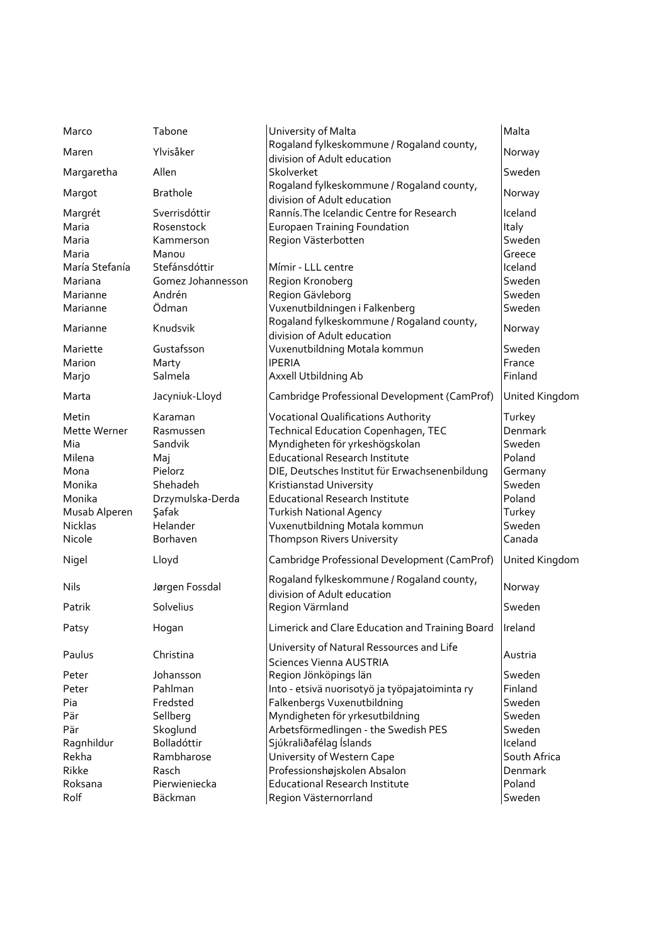| Marco          | Tabone            | University of Malta                                                      | Malta          |
|----------------|-------------------|--------------------------------------------------------------------------|----------------|
| Maren          | Ylvisåker         | Rogaland fylkeskommune / Rogaland county,                                | Norway         |
|                |                   | division of Adult education                                              |                |
| Margaretha     | Allen             | Skolverket                                                               | Sweden         |
| Margot         | <b>Brathole</b>   | Rogaland fylkeskommune / Rogaland county,<br>division of Adult education | Norway         |
| Margrét        | Sverrisdóttir     | Rannís. The Icelandic Centre for Research                                | Iceland        |
| Maria          | Rosenstock        | <b>Europaen Training Foundation</b>                                      | Italy          |
| Maria          | Kammerson         | Region Västerbotten                                                      | Sweden         |
| Maria          | Manou             |                                                                          | Greece         |
| María Stefanía | Stefánsdóttir     | Mímir - LLL centre                                                       | Iceland        |
| Mariana        | Gomez Johannesson | Region Kronoberg                                                         | Sweden         |
| Marianne       | Andrén            | Region Gävleborg                                                         | Sweden         |
| Marianne       | Ödman             | Vuxenutbildningen i Falkenberg                                           | Sweden         |
| Marianne       | Knudsvik          | Rogaland fylkeskommune / Rogaland county,                                | Norway         |
|                |                   | division of Adult education                                              |                |
| Mariette       | Gustafsson        | Vuxenutbildning Motala kommun                                            | Sweden         |
| Marion         | Marty             | <b>IPERIA</b>                                                            | France         |
| Marjo          | Salmela           | Axxell Utbildning Ab                                                     | Finland        |
| Marta          | Jacyniuk-Lloyd    | Cambridge Professional Development (CamProf)                             | United Kingdom |
| Metin          | Karaman           | <b>Vocational Qualifications Authority</b>                               | Turkey         |
| Mette Werner   | Rasmussen         | Technical Education Copenhagen, TEC                                      | Denmark        |
| Mia            | Sandvik           | Myndigheten för yrkeshögskolan                                           | Sweden         |
| Milena         | Maj               | <b>Educational Research Institute</b>                                    | Poland         |
| Mona           | Pielorz           | DIE, Deutsches Institut für Erwachsenenbildung                           | Germany        |
| Monika         | Shehadeh          | Kristianstad University                                                  | Sweden         |
| Monika         | Drzymulska-Derda  | <b>Educational Research Institute</b>                                    | Poland         |
| Musab Alperen  | Şafak             | <b>Turkish National Agency</b>                                           | Turkey         |
| <b>Nicklas</b> | Helander          | Vuxenutbildning Motala kommun                                            | Sweden         |
| Nicole         | Borhaven          | Thompson Rivers University                                               | Canada         |
| Nigel          | Lloyd             | Cambridge Professional Development (CamProf)                             | United Kingdom |
| Nils           | Jørgen Fossdal    | Rogaland fylkeskommune / Rogaland county,<br>division of Adult education | Norway         |
| Patrik         | Solvelius         | Region Värmland                                                          | Sweden         |
| Patsy          | Hogan             | Limerick and Clare Education and Training Board                          | Ireland        |
| Paulus         | Christina         | University of Natural Ressources and Life<br>Sciences Vienna AUSTRIA     | Austria        |
| Peter          | Johansson         | Region Jönköpings län                                                    | Sweden         |
| Peter          | Pahlman           | Into - etsivä nuorisotyö ja työpajatoiminta ry                           | Finland        |
| Pia            | Fredsted          | Falkenbergs Vuxenutbildning                                              | Sweden         |
| Pär            | Sellberg          | Myndigheten för yrkesutbildning                                          | Sweden         |
| Pär            | Skoglund          | Arbetsförmedlingen - the Swedish PES                                     | Sweden         |
| Ragnhildur     | Bolladóttir       | Sjúkraliðafélag Íslands                                                  | Iceland        |
| Rekha          | Rambharose        | University of Western Cape                                               | South Africa   |
| Rikke          | Rasch             | Professionshøjskolen Absalon                                             | Denmark        |
| Roksana        | Pierwieniecka     | <b>Educational Research Institute</b>                                    | Poland         |
| Rolf           | Bäckman           | Region Västernorrland                                                    | Sweden         |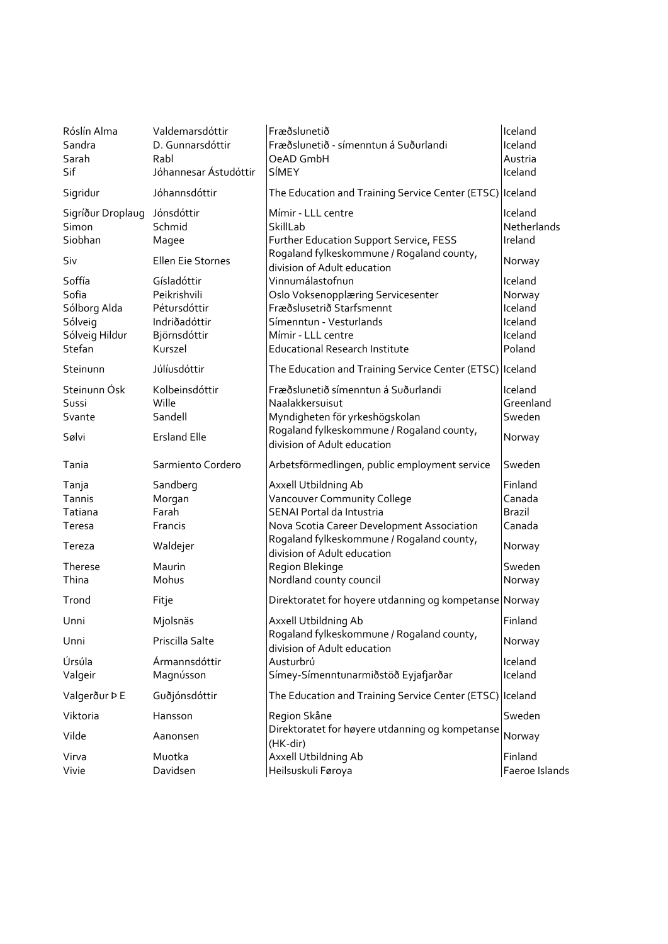| Róslín Alma<br>Sandra<br>Sarah<br>Sif                                  | Valdemarsdóttir<br>D. Gunnarsdóttir<br>Rabl<br>Jóhannesar Ástudóttir                    | Fræðslunetið<br>Fræðslunetið - símenntun á Suðurlandi<br>OeAD GmbH<br>SÍMEY                                                                                                                                | Iceland<br>Iceland<br>Austria<br>Iceland                     |
|------------------------------------------------------------------------|-----------------------------------------------------------------------------------------|------------------------------------------------------------------------------------------------------------------------------------------------------------------------------------------------------------|--------------------------------------------------------------|
| Sigridur                                                               | Jóhannsdóttir                                                                           | The Education and Training Service Center (ETSC) Iceland                                                                                                                                                   |                                                              |
| Sigríður Droplaug<br>Simon<br>Siobhan                                  | Jónsdóttir<br>Schmid<br>Magee                                                           | Mímir - LLL centre<br>SkillLab<br>Further Education Support Service, FESS                                                                                                                                  | Iceland<br>Netherlands<br>Ireland                            |
| Siv                                                                    | Ellen Eie Stornes                                                                       | Rogaland fylkeskommune / Rogaland county,<br>division of Adult education                                                                                                                                   | Norway                                                       |
| Soffía<br>Sofia<br>Sólborg Alda<br>Sólveig<br>Sólveig Hildur<br>Stefan | Gísladóttir<br>Peikrishvili<br>Pétursdóttir<br>Indriðadóttir<br>Björnsdóttir<br>Kurszel | Vinnumálastofnun<br>Oslo Voksenopplæring Servicesenter<br>Fræðslusetrið Starfsmennt<br>Símenntun - Vesturlands<br>Mímir - LLL centre<br><b>Educational Research Institute</b>                              | Iceland<br>Norway<br>Iceland<br>Iceland<br>Iceland<br>Poland |
| Steinunn                                                               | Júlíusdóttir                                                                            | The Education and Training Service Center (ETSC) Iceland                                                                                                                                                   |                                                              |
| Steinunn Ósk<br>Sussi<br>Svante                                        | Kolbeinsdóttir<br>Wille<br>Sandell                                                      | Fræðslunetið símenntun á Suðurlandi<br>Naalakkersuisut<br>Myndigheten för yrkeshögskolan                                                                                                                   | Iceland<br>Greenland<br>Sweden                               |
| Sølvi                                                                  | <b>Ersland Elle</b>                                                                     | Rogaland fylkeskommune / Rogaland county,<br>division of Adult education                                                                                                                                   | Norway                                                       |
| Tania                                                                  | Sarmiento Cordero                                                                       | Arbetsförmedlingen, public employment service                                                                                                                                                              | Sweden                                                       |
| Tanja<br>Tannis<br>Tatiana<br>Teresa<br>Tereza                         | Sandberg<br>Morgan<br>Farah<br>Francis<br>Waldejer                                      | Axxell Utbildning Ab<br>Vancouver Community College<br>SENAI Portal da Intustria<br>Nova Scotia Career Development Association<br>Rogaland fylkeskommune / Rogaland county,<br>division of Adult education | Finland<br>Canada<br><b>Brazil</b><br>Canada<br>Norway       |
| Therese<br>Thina                                                       | Maurin<br>Mohus                                                                         | Region Blekinge<br>Nordland county council                                                                                                                                                                 | Sweden<br>Norway                                             |
| Trond                                                                  | Fitje                                                                                   | Direktoratet for hoyere utdanning og kompetanse Norway                                                                                                                                                     |                                                              |
| Unni                                                                   | Miolsnäs                                                                                | Axxell Utbildning Ab                                                                                                                                                                                       | Finland                                                      |
| Unni                                                                   | Priscilla Salte                                                                         | Rogaland fylkeskommune / Rogaland county,<br>division of Adult education                                                                                                                                   | Norway                                                       |
| Úrsúla<br>Valgeir                                                      | Ármannsdóttir<br>Magnússon                                                              | Austurbrú<br>Símey-Símenntunarmiðstöð Eyjafjarðar                                                                                                                                                          | Iceland<br>Iceland                                           |
| Valgerður ÞE                                                           | Guðjónsdóttir                                                                           | The Education and Training Service Center (ETSC) Iceland                                                                                                                                                   |                                                              |
| Viktoria                                                               | Hansson                                                                                 | Region Skåne                                                                                                                                                                                               | Sweden                                                       |
| Vilde                                                                  | Aanonsen                                                                                | Direktoratet for høyere utdanning og kompetanse<br>(HK-dir)                                                                                                                                                | Norway                                                       |
| Virva<br>Vivie                                                         | Muotka<br>Davidsen                                                                      | Axxell Utbildning Ab<br>Heilsuskuli Føroya                                                                                                                                                                 | Finland<br>Faeroe Islands                                    |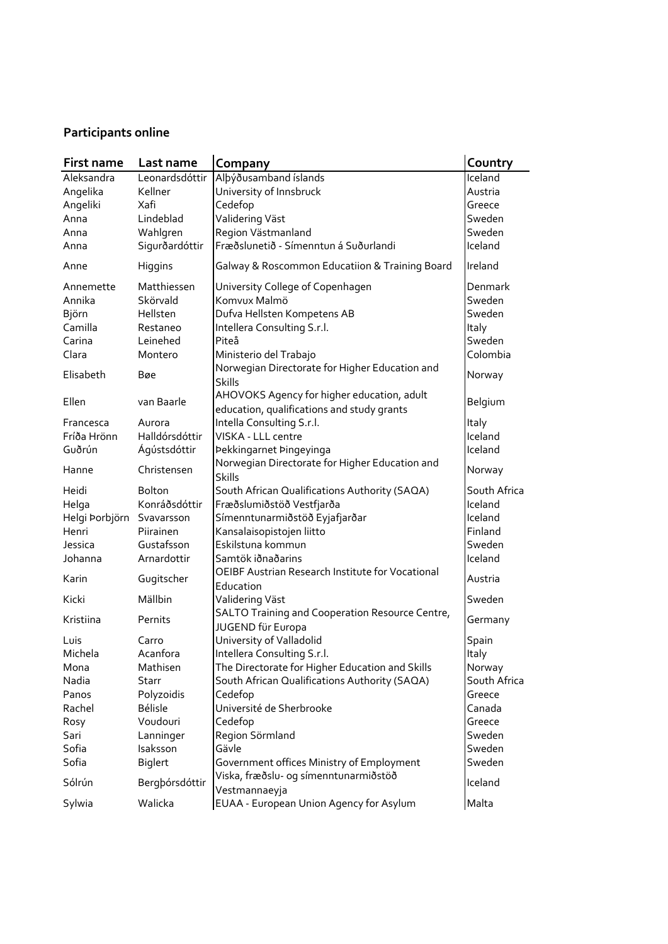## **Participants online**

| First name                | Last name      | Company                                                       | Country      |
|---------------------------|----------------|---------------------------------------------------------------|--------------|
| Aleksandra                | Leonardsdóttir | Albýðusamband íslands                                         | Iceland      |
| Angelika                  | Kellner        | University of Innsbruck                                       | Austria      |
| Angeliki                  | Xafi           | Cedefop                                                       | Greece       |
| Anna                      | Lindeblad      | Validering Väst                                               | Sweden       |
| Anna                      | Wahlgren       | Region Västmanland                                            | Sweden       |
| Anna                      | Sigurðardóttir | Fræðslunetið - Símenntun á Suðurlandi                         | Iceland      |
| Anne                      | Higgins        | Galway & Roscommon Educatiion & Training Board                | Ireland      |
| Annemette                 | Matthiessen    | University College of Copenhagen                              | Denmark      |
| Annika                    | Skörvald       | Komvux Malmö                                                  | Sweden       |
| Björn                     | Hellsten       | Dufva Hellsten Kompetens AB                                   | Sweden       |
| Camilla                   | Restaneo       | Intellera Consulting S.r.l.                                   | Italy        |
| Carina                    | Leinehed       | Piteå                                                         | Sweden       |
| Clara                     | Montero        | Ministerio del Trabajo                                        | Colombia     |
|                           |                | Norwegian Directorate for Higher Education and                |              |
| Elisabeth                 | Bøe            | <b>Skills</b>                                                 | Norway       |
|                           | van Baarle     | AHOVOKS Agency for higher education, adult                    |              |
| Ellen                     |                | education, qualifications and study grants                    | Belgium      |
| Francesca                 | Aurora         | Intella Consulting S.r.l.                                     | Italy        |
| Fríða Hrönn               | Halldórsdóttir | VISKA - LLL centre                                            | Iceland      |
| Guðrún                    | Ágústsdóttir   | Þekkingarnet Þingeyinga                                       | Iceland      |
| Hanne                     | Christensen    | Norwegian Directorate for Higher Education and                | Norway       |
|                           |                | <b>Skills</b>                                                 |              |
| Heidi                     | <b>Bolton</b>  | South African Qualifications Authority (SAQA)                 | South Africa |
| Helga                     | Konráðsdóttir  | Fræðslumiðstöð Vestfjarða                                     | Iceland      |
| Helgi Þorbjörn Svavarsson |                | Símenntunarmiðstöð Eyjafjarðar                                | Iceland      |
| Henri                     | Piirainen      | Kansalaisopistojen liitto                                     | Finland      |
| Jessica                   | Gustafsson     | Eskilstuna kommun                                             | Sweden       |
| Johanna                   | Arnardottir    | Samtök iðnaðarins                                             | Iceland      |
| Karin                     | Gugitscher     | OEIBF Austrian Research Institute for Vocational<br>Education | Austria      |
| Kicki                     | Mällbin        | Validering Väst                                               | Sweden       |
| Kristiina                 | Pernits        | SALTO Training and Cooperation Resource Centre,               |              |
|                           |                | JUGEND für Europa                                             | Germany      |
| Luis                      | Carro          | University of Valladolid                                      | Spain        |
| Michela                   | Acanfora       | Intellera Consulting S.r.l.                                   | Italy        |
| Mona                      | Mathisen       | The Directorate for Higher Education and Skills               | Norway       |
| Nadia                     | <b>Starr</b>   | South African Qualifications Authority (SAQA)                 | South Africa |
| Panos                     | Polyzoidis     | Cedefop                                                       | Greece       |
| Rachel                    | <b>Bélisle</b> | Université de Sherbrooke                                      | Canada       |
| Rosy                      | Voudouri       | Cedefop                                                       | Greece       |
| Sari                      | Lanninger      | Region Sörmland                                               | Sweden       |
| Sofia                     | Isaksson       | Gävle                                                         | Sweden       |
| Sofia                     | <b>Biglert</b> | Government offices Ministry of Employment                     | Sweden       |
| Sólrún                    | Bergþórsdóttir | Viska, fræðslu- og símenntunarmiðstöð                         | Iceland      |
|                           |                | Vestmannaeyja                                                 |              |
| Sylwia                    | Walicka        | EUAA - European Union Agency for Asylum                       | Malta        |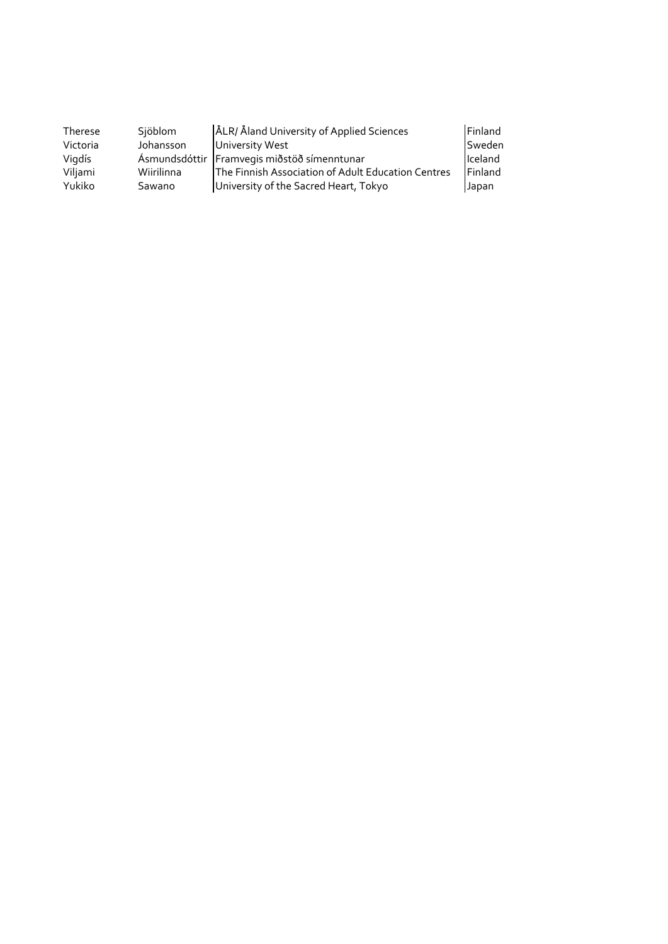| Therese  | Sjöblom    | ÅLR/ Åland University of Applied Sciences          | Finland |
|----------|------------|----------------------------------------------------|---------|
| Victoria | Johansson  | University West                                    | Sweden  |
| Vigdís   |            | Ásmundsdóttir Framvegis miðstöð símenntunar        | Iceland |
| Viljami  | Wiirilinna | The Finnish Association of Adult Education Centres | Finland |
| Yukiko   | Sawano     | University of the Sacred Heart, Tokyo              | Japan   |